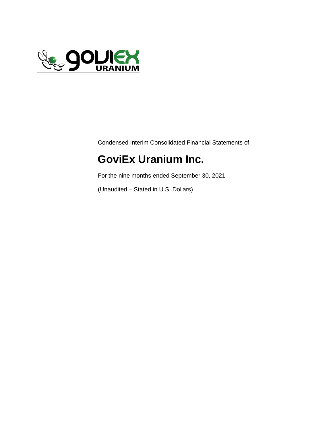

Condensed Interim Consolidated Financial Statements of

# **GoviEx Uranium Inc.**

For the nine months ended September 30, 2021

(Unaudited – Stated in U.S. Dollars)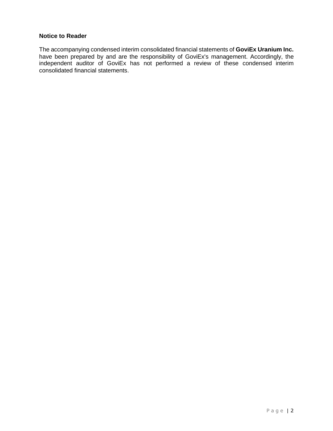#### **Notice to Reader**

The accompanying condensed interim consolidated financial statements of **GoviEx Uranium Inc.** have been prepared by and are the responsibility of GoviEx's management. Accordingly, the independent auditor of GoviEx has not performed a review of these condensed interim consolidated financial statements.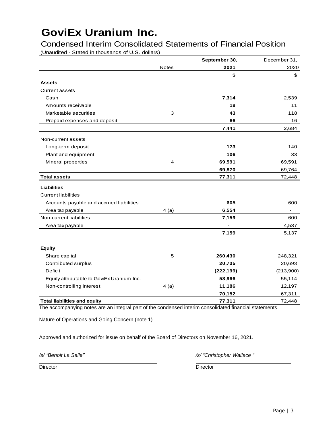(Unaudited - Stated in thousands of U.S. dollars) Condensed Interim Consolidated Statements of Financial Position

|                                            |              | September 30, | December 31,   |
|--------------------------------------------|--------------|---------------|----------------|
|                                            | <b>Notes</b> | 2021          | 2020           |
|                                            |              | \$            | \$             |
| <b>Assets</b>                              |              |               |                |
| <b>Current assets</b>                      |              |               |                |
| Cash                                       |              | 7,314         | 2,539          |
| Amounts receivable                         |              | 18            | 11             |
| Marketable securities                      | 3            | 43            | 118            |
| Prepaid expenses and deposit               |              | 66            | 16             |
|                                            |              | 7,441         | 2,684          |
| Non-current assets                         |              |               |                |
| Long-term deposit                          |              | 173           | 140            |
| Plant and equipment                        |              | 106           | 33             |
| Mineral properties                         | 4            | 69,591        | 69,591         |
|                                            |              | 69,870        | 69,764         |
| <b>Total assets</b>                        |              | 77,311        | 72,448         |
| <b>Liabilities</b>                         |              |               |                |
| <b>Current liabilities</b>                 |              |               |                |
| Accounts payable and accrued liabilities   |              | 605           | 600            |
| Area tax payable                           | 4(a)         | 6,554         | $\blacksquare$ |
| Non-current liabilities                    |              | 7,159         | 600            |
| Area tax payable                           |              |               | 4,537          |
|                                            |              | 7,159         | 5,137          |
|                                            |              |               |                |
| <b>Equity</b>                              |              |               |                |
| Share capital                              | 5            | 260,430       | 248,321        |
| Contributed surplus                        |              | 20,735        | 20,693         |
| Deficit                                    |              | (222, 199)    | (213,900)      |
| Equity attributable to GoviEx Uranium Inc. |              | 58,966        | 55,114         |
| Non-controlling interest                   | 4(a)         | 11,186        | 12,197         |
|                                            |              | 70,152        | 67,311         |
| <b>Total liabilities and equity</b>        |              | 77,311        | 72,448         |

The accompanying notes are an integral part of the condensed interim consolidated financial statements.

Nature of Operations and Going Concern (note 1)

Approved and authorized for issue on behalf of the Board of Directors on November 16, 2021.

*/s/ "Benoit La Salle" /s/ "Christopher Wallace "*

Director **Director** Director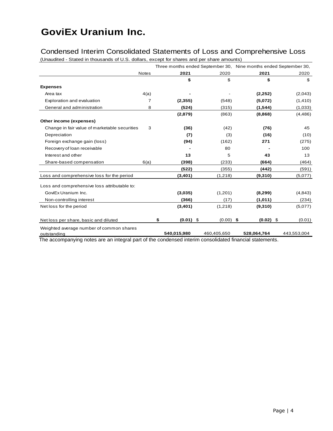### Condensed Interim Consolidated Statements of Loss and Comprehensive Loss

(Unaudited - Stated in thousands of U.S. dollars, except for shares and per share amounts)

|                                                         |              |                   |             | Three months ended September 30, Nine months ended September 30, |             |
|---------------------------------------------------------|--------------|-------------------|-------------|------------------------------------------------------------------|-------------|
|                                                         | <b>Notes</b> | 2021              | 2020        | 2021                                                             | 2020        |
|                                                         |              | \$                | \$          | \$                                                               | \$          |
| <b>Expenses</b>                                         |              |                   |             |                                                                  |             |
| Area tax                                                | 4(a)         |                   |             | (2, 252)                                                         | (2,043)     |
| Exploration and evaluation                              | 7            | (2, 355)          | (548)       | (5,072)                                                          | (1, 410)    |
| General and administration                              | 8            | (524)             | (315)       | (1, 544)                                                         | (1,033)     |
|                                                         |              | (2,879)           | (863)       | (8,868)                                                          | (4, 486)    |
| Other income (expenses)                                 |              |                   |             |                                                                  |             |
| Change in fair value of marketable securities           | 3            | (36)              | (42)        | (76)                                                             | 45          |
| Depreciation                                            |              | (7)               | (3)         | (16)                                                             | (10)        |
| Foreign exchange gain (loss)                            |              | (94)              | (162)       | 271                                                              | (275)       |
| Recovery of loan receivable                             |              |                   | 80          |                                                                  | 100         |
| Interest and other                                      |              | 13                | 5           | 43                                                               | 13          |
| Share-based compensation                                | 6(a)         | (398)             | (233)       | (664)                                                            | (464)       |
|                                                         |              | (522)             | (355)       | (442)                                                            | (591)       |
| Loss and comprehensive loss for the period              |              | (3,401)           | (1,218)     | (9,310)                                                          | (5,077)     |
| Loss and comprehensive loss attributable to:            |              |                   |             |                                                                  |             |
| GoviEx Uranium Inc.                                     |              | (3,035)           | (1,201)     | (8, 299)                                                         | (4, 843)    |
| Non-controlling interest                                |              | (366)             | (17)        | (1,011)                                                          | (234)       |
| Net loss for the period                                 |              | (3,401)           | (1,218)     | (9,310)                                                          | (5,077)     |
| Net loss per share, basic and diluted                   |              | $(0.01)$ \$<br>\$ | $(0.00)$ \$ | $(0.02)$ \$                                                      | (0.01)      |
| Weighted average number of common shares<br>outstanding |              | 540,015,980       | 460,405,650 | 528,064,764                                                      | 443,553,004 |

The accompanying notes are an integral part of the condensed interim consolidated financial statements.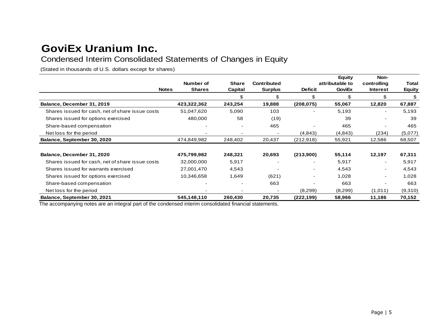## Condensed Interim Consolidated Statements of Changes in Equity

(Stated in thousands of U.S. dollars except for shares)

|                                                  |                                            |                         |                                      |                          | <b>Equity</b>                    | Non-                           |                        |
|--------------------------------------------------|--------------------------------------------|-------------------------|--------------------------------------|--------------------------|----------------------------------|--------------------------------|------------------------|
|                                                  | Number of<br><b>Shares</b><br><b>Notes</b> | <b>Share</b><br>Capital | <b>Contributed</b><br><b>Surplus</b> | <b>Deficit</b>           | attributable to<br><b>GoviEx</b> | controlling<br><b>Interest</b> | Total<br><b>Equity</b> |
|                                                  |                                            | \$                      | \$                                   | \$                       | \$                               | \$                             | \$                     |
| Balance, December 31, 2019                       | 423,322,362                                | 243,254                 | 19,888                               | (208, 075)               | 55,067                           | 12,820                         | 67,887                 |
| Shares issued for cash, net of share issue costs | 51,047,620                                 | 5,090                   | 103                                  |                          | 5,193                            | $\blacksquare$                 | 5,193                  |
| Shares issued for options exercised              | 480,000                                    | 58                      | (19)                                 |                          | 39                               |                                | 39                     |
| Share-based compensation                         |                                            |                         | 465                                  |                          | 465                              |                                | 465                    |
| Net loss for the period                          |                                            |                         |                                      | (4, 843)                 | (4, 843)                         | (234)                          | (5,077)                |
| Balance, September 30, 2020                      | 474,849,982                                | 248,402                 | 20,437                               | (212, 918)               | 55,921                           | 12,586                         | 68,507                 |
| Balance, December 31, 2020                       | 475,799,982                                | 248,321                 | 20,693                               | (213,900)                | 55,114                           | 12,197                         | 67,311                 |
| Shares issued for cash, net of share issue costs | 32,000,000                                 | 5,917                   |                                      | $\overline{\phantom{0}}$ | 5,917                            | $\blacksquare$                 | 5,917                  |
| Shares issued for warrants exercised             | 27,001,470                                 | 4,543                   |                                      | $\blacksquare$           | 4,543                            | $\blacksquare$                 | 4,543                  |
| Shares issued for options exercised              | 10,346,658                                 | 1,649                   | (621)                                |                          | 1,028                            |                                | 1,028                  |
| Share-based compensation                         |                                            |                         | 663                                  | $\overline{\phantom{0}}$ | 663                              |                                | 663                    |
| Net loss for the period                          |                                            |                         |                                      | (8,299)                  | (8,299)                          | (1,011)                        | (9,310)                |
| Balance, September 30, 2021                      | 545,148,110                                | 260,430                 | 20,735                               | (222,199)                | 58,966                           | 11,186                         | 70,152                 |

The accompanying notes are an integral part of the condensed interim consolidated financial statements.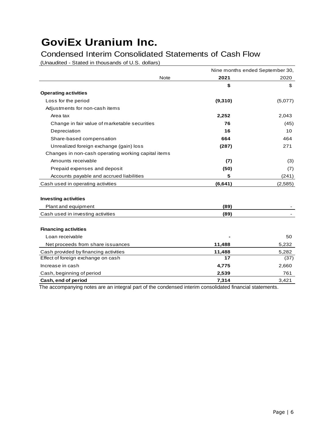### Condensed Interim Consolidated Statements of Cash Flow

(Unaudited - Stated in thousands of U.S. dollars)

|                                                     | Nine months ended September 30, |         |
|-----------------------------------------------------|---------------------------------|---------|
| Note                                                | 2021                            | 2020    |
|                                                     | \$                              | \$      |
| <b>Operating activities</b>                         |                                 |         |
| Loss for the period                                 | (9,310)                         | (5,077) |
| Adjustments for non-cash items                      |                                 |         |
| Area tax                                            | 2,252                           | 2,043   |
| Change in fair value of marketable securities       | 76                              | (45)    |
| Depreciation                                        | 16                              | 10      |
| Share-based compensation                            | 664                             | 464     |
| Unrealized foreign exchange (gain) loss             | (287)                           | 271     |
| Changes in non-cash operating working capital items |                                 |         |
| Amounts receivable                                  | (7)                             | (3)     |
| Prepaid expenses and deposit                        | (50)                            | (7)     |
| Accounts payable and accrued liabilities            | 5                               | (241)   |
| Cash used in operating activities                   | (6, 641)                        | (2,585) |
|                                                     |                                 |         |
| <b>Investing activities</b>                         |                                 |         |
| Plant and equipment                                 | (89)                            |         |
| Cash used in investing activities                   | (89)                            |         |
| <b>Financing activities</b>                         |                                 |         |
| Loan receivable                                     |                                 | 50      |
| Net proceeds from share issuances                   | 11,488                          | 5,232   |
| Cash provided by financing activities               | 11,488                          | 5,282   |
| Effect of foreign exchange on cash                  | 17                              | (37)    |
| Increase in cash                                    | 4,775                           | 2,660   |
| Cash, beginning of period                           | 2,539                           | 761     |
| Cash, end of period                                 | 7,314                           | 3,421   |

The accompanying notes are an integral part of the condensed interim consolidated financial statements.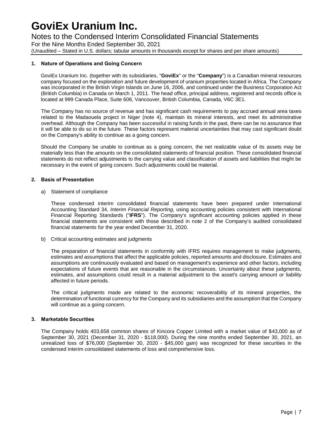### Notes to the Condensed Interim Consolidated Financial Statements

For the Nine Months Ended September 30, 2021 (Unaudited – Stated in U.S. dollars; tabular amounts in thousands except for shares and per share amounts)

#### **1. Nature of Operations and Going Concern**

GoviEx Uranium Inc. (together with its subsidiaries, "**GoviEx**" or the "**Company**") is a Canadian mineral resources company focused on the exploration and future development of uranium properties located in Africa. The Company was incorporated in the British Virgin Islands on June 16, 2006, and continued under the Business Corporation Act (British Columbia) in Canada on March 1, 2011. The head office, principal address, registered and records office is located at 999 Canada Place, Suite 606, Vancouver, British Columbia, Canada, V6C 3E1.

The Company has no source of revenue and has significant cash requirements to pay accrued annual area taxes related to the Madaouela project in Niger (note 4), maintain its mineral interests, and meet its administrative overhead. Although the Company has been successful in raising funds in the past, there can be no assurance that it will be able to do so in the future. These factors represent material uncertainties that may cast significant doubt on the Company's ability to continue as a going concern.

Should the Company be unable to continue as a going concern, the net realizable value of its assets may be materially less than the amounts on the consolidated statements of financial position. These consolidated financial statements do not reflect adjustments to the carrying value and classification of assets and liabilities that might be necessary in the event of going concern. Such adjustments could be material.

#### **2. Basis of Presentation**

a) Statement of compliance

These condensed interim consolidated financial statements have been prepared under International Accounting Standard 34, *Interim Financial Reporting*, using accounting policies consistent with International Financial Reporting Standards ("**IFRS**"). The Company's significant accounting policies applied in these financial statements are consistent with those described in note 2 of the Company's audited consolidated financial statements for the year ended December 31, 2020.

b) Critical accounting estimates and judgments

The preparation of financial statements in conformity with IFRS requires management to make judgments, estimates and assumptions that affect the applicable policies, reported amounts and disclosure. Estimates and assumptions are continuously evaluated and based on management's experience and other factors, including expectations of future events that are reasonable in the circumstances. Uncertainty about these judgments, estimates, and assumptions could result in a material adjustment to the asset's carrying amount or liability affected in future periods.

The critical judgments made are related to the economic recoverability of its mineral properties, the determination of functional currency for the Company and its subsidiaries and the assumption that the Company will continue as a going concern.

#### **3. Marketable Securities**

The Company holds 403,658 common shares of Kincora Copper Limited with a market value of \$43,000 as of September 30, 2021 (December 31, 2020 - \$118,000). During the nine months ended September 30, 2021, an unrealized loss of \$76,000 (September 30, 2020 - \$45,000 gain) was recognized for these securities in the condensed interim consolidated statements of loss and comprehensive loss.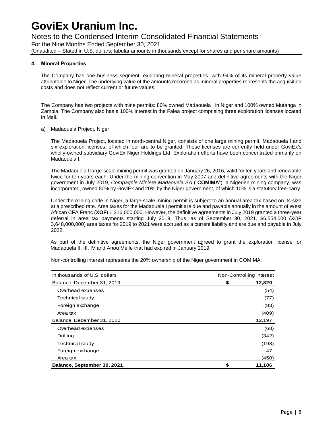### Notes to the Condensed Interim Consolidated Financial Statements

For the Nine Months Ended September 30, 2021 (Unaudited – Stated in U.S. dollars; tabular amounts in thousands except for shares and per share amounts)

#### **4. Mineral Properties**

The Company has one business segment, exploring mineral properties, with 94% of its mineral property value attributable to Niger. The underlying value of the amounts recorded as mineral properties represents the acquisition costs and does not reflect current or future values.

The Company has two projects with mine permits: 80% owned Madaouela I in Niger and 100% owned Mutanga in Zambia. The Company also has a 100% interest in the Falea project comprising three exploration licenses located in Mali.

#### a) Madaouela Project, Niger

The Madaouela Project, located in north-central Niger, consists of one large mining permit, Madaouela I and six exploration licenses, of which four are to be granted. These licenses are currently held under GoviEx's wholly-owned subsidiary GoviEx Niger Holdings Ltd. Exploration efforts have been concentrated primarily on Madaouela I.

The Madaouela I large-scale mining permit was granted on January 26, 2016, valid for ten years and renewable twice for ten years each. Under the mining convention in May 2007 and definitive agreements with the Niger government in July 2019, *Compagnie Miniere Madaouela SA* ("**COMIMA**"), a Nigerien mining company, was incorporated, owned 80% by GoviEx and 20% by the Niger government, of which 10% is a statutory free-carry.

Under the mining code in Niger, a large-scale mining permit is subject to an annual area tax based on its size at a prescribed rate. Area taxes for the Madaouela I permit are due and payable annually in the amount of West African CFA Franc (**XOF**) 1,216,000,000. However, the definitive agreements in July 2019 granted a three-year deferral in area tax payments starting July 2019. Thus, as of September 30, 2021, \$6,554,000 (XOF 3,648,000,000) area taxes for 2019 to 2021 were accrued as a current liability and are due and payable in July 2022.

As part of the definitive agreements, the Niger government agreed to grant the exploration license for Madaouela II, III, IV and Anou Melle that had expired in January 2019.

Non-controlling interest represents the 20% ownership of the Niger government in COMIMA:

| In thousands of U.S. dollars | Non-Controlling Interest |        |
|------------------------------|--------------------------|--------|
| Balance, December 31, 2019   | \$                       | 12,820 |
| Overhead expenses            |                          | (54)   |
| <b>Technical study</b>       |                          | (77)   |
| Foreign exchange             |                          | (83)   |
| Area tax                     |                          | (409)  |
| Balance, December 31, 2020   |                          | 12,197 |
| Overhead expenses            |                          | (68)   |
| Drilling                     |                          | (342)  |
| <b>Technical study</b>       |                          | (198)  |
| Foreign exchange             |                          | 47     |
| Area tax                     |                          | (450)  |
| Balance, September 30, 2021  | \$                       | 11,186 |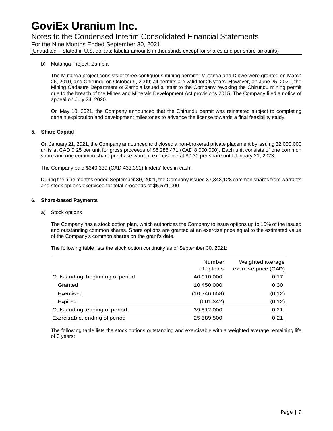### Notes to the Condensed Interim Consolidated Financial Statements

For the Nine Months Ended September 30, 2021

(Unaudited – Stated in U.S. dollars; tabular amounts in thousands except for shares and per share amounts)

#### b) Mutanga Project, Zambia

The Mutanga project consists of three contiguous mining permits: Mutanga and Dibwe were granted on March 26, 2010, and Chirundu on October 9, 2009; all permits are valid for 25 years. However, on June 25, 2020, the Mining Cadastre Department of Zambia issued a letter to the Company revoking the Chirundu mining permit due to the breach of the Mines and Minerals Development Act provisions 2015. The Company filed a notice of appeal on July 24, 2020.

On May 10, 2021, the Company announced that the Chirundu permit was reinstated subject to completing certain exploration and development milestones to advance the license towards a final feasibility study.

#### **5. Share Capital**

On January 21, 2021, the Company announced and closed a non-brokered private placement by issuing 32,000,000 units at CAD 0.25 per unit for gross proceeds of \$6,286,471 (CAD 8,000,000). Each unit consists of one common share and one common share purchase warrant exercisable at \$0.30 per share until January 21, 2023.

The Company paid \$340,339 (CAD 433,391) finders' fees in cash.

During the nine months ended September 30, 2021, the Company issued 37,348,128 common shares from warrants and stock options exercised for total proceeds of \$5,571,000.

#### **6. Share-based Payments**

a) Stock options

The Company has a stock option plan, which authorizes the Company to issue options up to 10% of the issued and outstanding common shares. Share options are granted at an exercise price equal to the estimated value of the Company's common shares on the grant's date.

The following table lists the stock option continuity as of September 30, 2021:

|                                  | Number<br>of options | Weighted average<br>exercise price (CAD) |
|----------------------------------|----------------------|------------------------------------------|
| Outstanding, beginning of period | 40,010,000           | 0.17                                     |
| Granted                          | 10,450,000           | 0.30                                     |
| Exercised                        | (10, 346, 658)       | (0.12)                                   |
| Expired                          | (601, 342)           | (0.12)                                   |
| Outstanding, ending of period    | 39,512,000           | 0.21                                     |
| Exercisable, ending of period    | 25,589,500           | 0.21                                     |

The following table lists the stock options outstanding and exercisable with a weighted average remaining life of 3 years: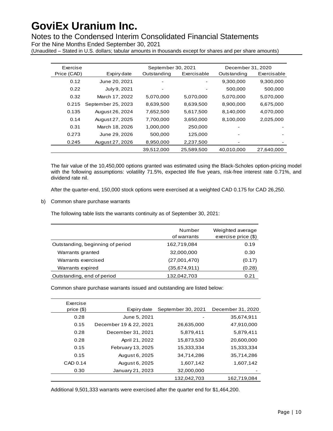Notes to the Condensed Interim Consolidated Financial Statements

For the Nine Months Ended September 30, 2021

(Unaudited – Stated in U.S. dollars; tabular amounts in thousands except for shares and per share amounts)

| Exercise    |                    | September 30, 2021       | December 31, 2020          |            |             |
|-------------|--------------------|--------------------------|----------------------------|------------|-------------|
| Price (CAD) | Expiry date        | Outstanding              | Exercisable<br>Outstanding |            | Exercisable |
| 0.12        | June 20, 2021      | $\overline{\phantom{a}}$ |                            | 9,300,000  | 9,300,000   |
| 0.22        | July 9, 2021       | $\overline{\phantom{a}}$ |                            | 500,000    | 500,000     |
| 0.32        | March 17, 2022     | 5,070,000                | 5,070,000                  | 5,070,000  | 5,070,000   |
| 0.215       | September 25, 2023 | 8,639,500                | 8,639,500                  | 8,900,000  | 6,675,000   |
| 0.135       | August 26, 2024    | 7,652,500                | 5,617,500                  | 8,140,000  | 4,070,000   |
| 0.14        | August 27, 2025    | 7,700,000                | 3,650,000                  | 8,100,000  | 2,025,000   |
| 0.31        | March 18, 2026     | 1,000,000                | 250,000                    |            |             |
| 0.273       | June 29, 2026      | 500,000                  | 125,000                    |            |             |
| 0.245       | August 27, 2026    | 8,950,000                | 2,237,500                  |            |             |
|             |                    | 39,512,000               | 25,589,500                 | 40,010,000 | 27,640,000  |

The fair value of the 10,450,000 options granted was estimated using the Black-Scholes option-pricing model with the following assumptions: volatility 71.5%, expected life five years, risk-free interest rate 0.71%, and dividend rate nil.

After the quarter-end, 150,000 stock options were exercised at a weighted CAD 0.175 for CAD 26,250.

b) Common share purchase warrants

The following table lists the warrants continuity as of September 30, 2021:

|                                  | Number<br>of warrants | Weighted average<br>exercise price (\$) |
|----------------------------------|-----------------------|-----------------------------------------|
| Outstanding, beginning of period | 162,719,084           | 0.19                                    |
| Warrants granted                 | 32,000,000            | 0.30                                    |
| Warrants exercised               | (27,001,470)          | (0.17)                                  |
| Warrants expired                 | (35,674,911)          | (0.28)                                  |
| Outstanding, end of period       | 132,042,703           | 0.21                                    |

Common share purchase warrants issued and outstanding are listed below:

| Exercise     |                        |                    |                   |
|--------------|------------------------|--------------------|-------------------|
| price $(\$)$ | Expiry date            | September 30, 2021 | December 31, 2020 |
| 0.28         | June 5, 2021           |                    | 35,674,911        |
| 0.15         | December 19 & 22, 2021 | 26,635,000         | 47,910,000        |
| 0.28         | December 31, 2021      | 5,879,411          | 5,879,411         |
| 0.28         | April 21, 2022         | 15,873,530         | 20,600,000        |
| 0.15         | February 13, 2025      | 15.333.334         | 15,333,334        |
| 0.15         | August 6, 2025         | 34,714,286         | 35,714,286        |
| CAD 0.14     | August 6, 2025         | 1,607,142          | 1,607,142         |
| 0.30         | January 21, 2023       | 32,000,000         |                   |
|              |                        | 132.042.703        | 162.719.084       |

Additional 9,501,333 warrants were exercised after the quarter end for \$1,464,200.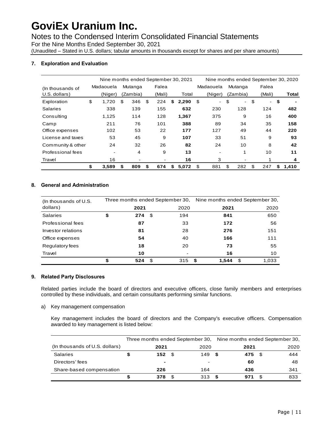Notes to the Condensed Interim Consolidated Financial Statements

For the Nine Months Ended September 30, 2021

(Unaudited – Stated in U.S. dollars; tabular amounts in thousands except for shares and per share amounts)

#### **7. Exploration and Evaluation**

|                    | Nine months ended September 30, 2021 |                          |    |          |    |        |    |       |    | Nine months ended September 30, 2020 |                      |              |    |       |
|--------------------|--------------------------------------|--------------------------|----|----------|----|--------|----|-------|----|--------------------------------------|----------------------|--------------|----|-------|
| (In thous and s of |                                      | Madaouela                |    | Mutanga  |    | Falea  |    |       |    | Madaouela                            | Mutanga              | Falea        |    |       |
| U.S. dollars)      |                                      | (Niger)                  |    | (Zambia) |    | (Mali) |    | Total |    | (Niger)                              | (Zambia)             | (Mali)       |    | Total |
| Exploration        | \$                                   | 1,720                    | \$ | 346      | \$ | 224    | \$ | 2,290 | \$ | $\sim$                               | \$<br>$\blacksquare$ | \$<br>$\sim$ | \$ |       |
| <b>Salaries</b>    |                                      | 338                      |    | 139      |    | 155    |    | 632   |    | 230                                  | 128                  | 124          |    | 482   |
| Consulting         |                                      | 1,125                    |    | 114      |    | 128    |    | 1,367 |    | 375                                  | 9                    | 16           |    | 400   |
| Camp               |                                      | 211                      |    | 76       |    | 101    |    | 388   |    | 89                                   | 34                   | 35           |    | 158   |
| Office expenses    |                                      | 102                      |    | 53       |    | 22     |    | 177   |    | 127                                  | 49                   | 44           |    | 220   |
| License and taxes  |                                      | 53                       |    | 45       |    | 9      |    | 107   |    | 33                                   | 51                   | 9            |    | 93    |
| Community & other  |                                      | 24                       |    | 32       |    | 26     |    | 82    |    | 24                                   | 10                   | 8            |    | 42    |
| Professional fees  |                                      | $\overline{\phantom{a}}$ |    | 4        |    | 9      |    | 13    |    |                                      | 1                    | 10           |    | 11    |
| Travel             |                                      | 16                       |    |          |    |        |    | 16    |    | 3                                    |                      | 1            |    | 4     |
|                    | \$                                   | 3,589                    | S  | 809      | S  | 674    | S  | 5,072 | S  | 881                                  | \$<br>282            | \$<br>247    | S  | 1.410 |

#### **8. General and Administration**

| (In thousands of U.S. |           |      | Three months ended September 30, |      | Nine months ended September 30, |    |       |  |
|-----------------------|-----------|------|----------------------------------|------|---------------------------------|----|-------|--|
| dollars)              | 2021      |      | 2020                             |      | 2021                            |    | 2020  |  |
| <b>Salaries</b>       | \$<br>274 | - \$ | 194                              |      | 841                             |    | 650   |  |
| Professional fees     | 87        |      | 33                               |      | 172                             |    | 56    |  |
| Investor relations    | 81        |      | 28                               |      | 276                             |    | 151   |  |
| Office expenses       | 54        |      | 40                               |      | 166                             |    | 111   |  |
| Regulatory fees       | 18        |      | 20                               |      | 73                              |    | 55    |  |
| Travel                | 10        |      |                                  |      | 16                              |    | 10    |  |
|                       | \$<br>524 | \$.  | 315                              | - \$ | 1.544                           | \$ | 1.033 |  |

#### **9. Related Party Disclosures**

Related parties include the board of directors and executive officers, close family members and enterprises controlled by these individuals, and certain consultants performing similar functions.

a) Key management compensation

Key management includes the board of directors and the Company's executive officers. Compensation awarded to key management is listed below:

|                                |      |      | Three months ended September 30, | Nine months ended September 30, |      |      |      |  |
|--------------------------------|------|------|----------------------------------|---------------------------------|------|------|------|--|
| (In thousands of U.S. dollars) | 2021 |      | 2020                             |                                 | 2021 |      | 2020 |  |
| <b>Salaries</b>                | 152  | - \$ | 149                              | £.                              | 475  | - \$ | 444  |  |
| Directors' fees                | ۰    |      | -                                |                                 | 60   |      | 48   |  |
| Share-based compensation       | 226  |      | 164                              |                                 | 436  |      | 341  |  |
|                                | 378  | \$   | 313                              | S                               | 971  |      | 833  |  |